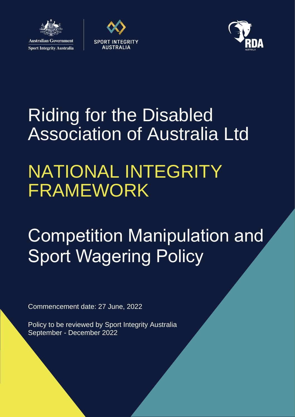

**Sport Integrity Australia** 





# Riding for the Disabled Association of Australia Ltd

# NATIONAL INTEGRITY FRAMEWORK

# Competition Manipulation and **Sport Wagering Policy**

Commencement date: 27 June, 2022

Policy to be reviewed by Sport Integrity Australia September - December 2022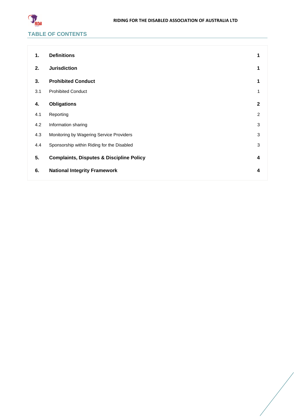

# **1. [Definitions](#page-2-0) 1 2. [Jurisdiction](#page-2-1) 1 3. [Prohibited Conduct](#page-2-2) 1** 3.1 [Prohibited Conduct](#page-2-3) 1 **4. [Obligations](#page-3-0) 2** 4.1 [Reporting](#page-3-1) 2 4.2 [Information sharing](#page-4-0) 3 4.3 [Monitoring by Wagering Service Providers](#page-4-1) 3 4.4 [Sponsorship within Riding for the Disabled](#page-4-2) 3 3 **5. [Complaints, Disputes & Discipline Policy](#page-5-0) 4 6. [National Integrity Framework](#page-5-1) 4**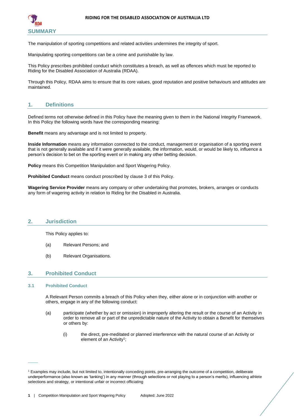

The manipulation of sporting competitions and related activities undermines the integrity of sport.

Manipulating sporting competitions can be a crime and punishable by law.

This Policy prescribes prohibited conduct which constitutes a breach, as well as offences which must be reported to Riding for the Disabled Association of Australia (RDAA).

Through this Policy, RDAA aims to ensure that its core values, good reputation and positive behaviours and attitudes are maintained.

# <span id="page-2-0"></span>**1. Definitions**

Defined terms not otherwise defined in this Policy have the meaning given to them in the National Integrity Framework. In this Policy the following words have the corresponding meaning:

**Benefit** means any advantage and is not limited to property.

**Inside Information** means any information connected to the conduct, management or organisation of a sporting event that is not generally available and if it were generally available, the information, would, or would be likely to, influence a person's decision to bet on the sporting event or in making any other betting decision.

**Policy** means this Competition Manipulation and Sport Wagering Policy.

**Prohibited Conduct** means conduct proscribed by clause [3](#page-2-2) of this Policy.

**Wagering Service Provider** means any company or other undertaking that promotes, brokers, arranges or conducts any form of wagering activity in relation to Riding for the Disabled in Australia.

## <span id="page-2-1"></span>**2. Jurisdiction**

This Policy applies to:

- (a) Relevant Persons; and
- (b) Relevant Organisations.

## <span id="page-2-2"></span>**3. Prohibited Conduct**

#### <span id="page-2-3"></span>**3.1 Prohibited Conduct**

 $\overline{\phantom{a}}$ 

A Relevant Person commits a breach of this Policy when they, either alone or in conjunction with another or others, engage in any of the following conduct:

- (a) participate (whether by act or omission) in improperly altering the result or the course of an Activity in order to remove all or part of the unpredictable nature of the Activity to obtain a Benefit for themselves or others by:
	- (i) the direct, pre-meditated or planned interference with the natural course of an Activity or element of an Activity<sup>1</sup>;

<sup>1</sup> Examples may include, but not limited to, intentionally conceding points, pre-arranging the outcome of a competition, deliberate underperformance (also known as 'tanking') in any manner (through selections or not playing to a person's merits), influencing athlete selections and strategy, or intentional unfair or incorrect officiating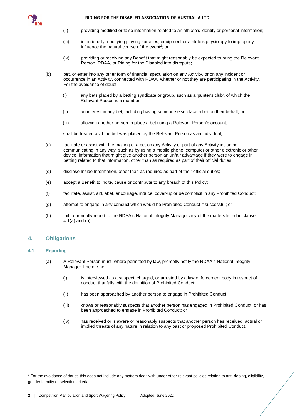

#### **RIDING FOR THE DISABLED ASSOCIATION OF AUSTRALIA LTD**

- (ii) providing modified or false information related to an athlete's identity or personal information;
- (iii) intentionally modifying playing surfaces, equipment or athlete's physiology to improperly influence the natural course of the event<sup>2</sup>; or
- (iv) providing or receiving any Benefit that might reasonably be expected to bring the Relevant Person, RDAA, or Riding for the Disabled into disrepute;
- (b) bet, or enter into any other form of financial speculation on any Activity, or on any incident or occurrence in an Activity, connected with RDAA, whether or not they are participating in the Activity. For the avoidance of doubt:
	- (i) any bets placed by a betting syndicate or group, such as a 'punter's club', of which the Relevant Person is a member;
	- (ii) an interest in any bet, including having someone else place a bet on their behalf; or
	- (iii) allowing another person to place a bet using a Relevant Person's account,

shall be treated as if the bet was placed by the Relevant Person as an individual;

- (c) facilitate or assist with the making of a bet on any Activity or part of any Activity including communicating in any way, such as by using a mobile phone, computer or other electronic or other device, information that might give another person an unfair advantage if they were to engage in betting related to that information, other than as required as part of their official duties;
- (d) disclose Inside Information, other than as required as part of their official duties;
- (e) accept a Benefit to incite, cause or contribute to any breach of this Policy;
- (f) facilitate, assist, aid, abet, encourage, induce, cover-up or be complicit in any Prohibited Conduct;
- (g) attempt to engage in any conduct which would be Prohibited Conduct if successful; or
- (h) fail to promptly report to the RDAA's National Integrity Manager any of the matters listed in clause [4.1](#page-3-1)[\(a\)](#page-3-2) an[d \(b\).](#page-4-3)

## <span id="page-3-0"></span>**4. Obligations**

#### <span id="page-3-2"></span><span id="page-3-1"></span>**4.1 Reporting**

 $\overline{\phantom{a}}$ 

- (a) A Relevant Person must, where permitted by law, promptly notify the RDAA's National Integrity Manager if he or she:
	- (i) is interviewed as a suspect, charged, or arrested by a law enforcement body in respect of conduct that falls with the definition of Prohibited Conduct;
	- (ii) has been approached by another person to engage in Prohibited Conduct;
	- (iii) knows or reasonably suspects that another person has engaged in Prohibited Conduct, or has been approached to engage in Prohibited Conduct; or
	- (iv) has received or is aware or reasonably suspects that another person has received, actual or implied threats of any nature in relation to any past or proposed Prohibited Conduct.

<sup>&</sup>lt;sup>2</sup> For the avoidance of doubt, this does not include any matters dealt with under other relevant policies relating to anti-doping, eligibility, gender identity or selection criteria.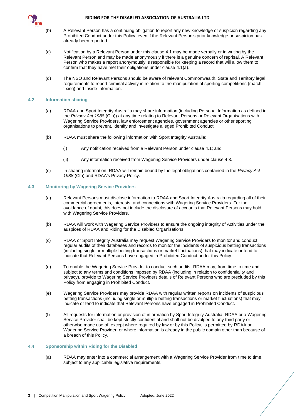<span id="page-4-3"></span>

#### **RIDING FOR THE DISABLED ASSOCIATION OF AUSTRALIA LTD**

- (b) A Relevant Person has a continuing obligation to report any new knowledge or suspicion regarding any Prohibited Conduct under this Policy, even if the Relevant Person's prior knowledge or suspicion has already been reported.
- (c) Notification by a Relevant Person under this clause [4.1](#page-3-1) may be made verbally or in writing by the Relevant Person and may be made anonymously if there is a genuine concern of reprisal. A Relevant Person who makes a report anonymously is responsible for keeping a record that will allow them to confirm that they have met their obligations under clause [4.1](#page-3-1)[\(a\).](#page-3-2)
- (d) The NSO and Relevant Persons should be aware of relevant Commonwealth, State and Territory legal requirements to report criminal activity in relation to the manipulation of sporting competitions (matchfixing) and Inside Information.

### <span id="page-4-0"></span>**4.2 Information sharing**

- (a) RDAA and Sport Integrity Australia may share information (including Personal Information as defined in the *Privacy Act 1988* (Cth)) at any time relating to Relevant Persons or Relevant Organisations with Wagering Service Providers, law enforcement agencies, government agencies or other sporting organisations to prevent, identify and investigate alleged Prohibited Conduct.
- (b) RDAA must share the following information with Sport Integrity Australia:
	- (i) Any notification received from a Relevant Person under claus[e 4.1;](#page-3-1) and
	- (ii) Any information received from Wagering Service Providers under claus[e 4.3.](#page-4-1)
- (c) In sharing information, RDAA will remain bound by the legal obligations contained in the *Privacy Act 1988* (Cth) and RDAA's Privacy Policy.

#### <span id="page-4-1"></span>**4.3 Monitoring by Wagering Service Providers**

- (a) Relevant Persons must disclose information to RDAA and Sport Integrity Australia regarding all of their commercial agreements, interests, and connections with Wagering Service Providers. For the avoidance of doubt, this does not include the disclosure of accounts that Relevant Persons may hold with Wagering Service Providers.
- (b) RDAA will work with Wagering Service Providers to ensure the ongoing integrity of Activities under the auspices of RDAA and Riding for the Disabled Organisations.
- (c) RDAA or Sport Integrity Australia may request Wagering Service Providers to monitor and conduct regular audits of their databases and records to monitor the incidents of suspicious betting transactions (including single or multiple betting transactions or market fluctuations) that may indicate or tend to indicate that Relevant Persons have engaged in Prohibited Conduct under this Policy.
- (d) To enable the Wagering Service Provider to conduct such audits, RDAA may, from time to time and subject to any terms and conditions imposed by RDAA (including in relation to confidentiality and privacy), provide to Wagering Service Providers details of Relevant Persons who are precluded by this Policy from engaging in Prohibited Conduct.
- (e) Wagering Service Providers may provide RDAA with regular written reports on incidents of suspicious betting transactions (including single or multiple betting transactions or market fluctuations) that may indicate or tend to indicate that Relevant Persons have engaged in Prohibited Conduct.
- (f) All requests for information or provision of information by Sport Integrity Australia, RDAA or a Wagering Service Provider shall be kept strictly confidential and shall not be divulged to any third party or otherwise made use of, except where required by law or by this Policy, is permitted by RDAA or Wagering Service Provider, or where information is already in the public domain other than because of a breach of this Policy.

#### <span id="page-4-2"></span>**4.4 Sponsorship within Riding for the Disabled**

(a) RDAA may enter into a commercial arrangement with a Wagering Service Provider from time to time, subject to any applicable legislative requirements.